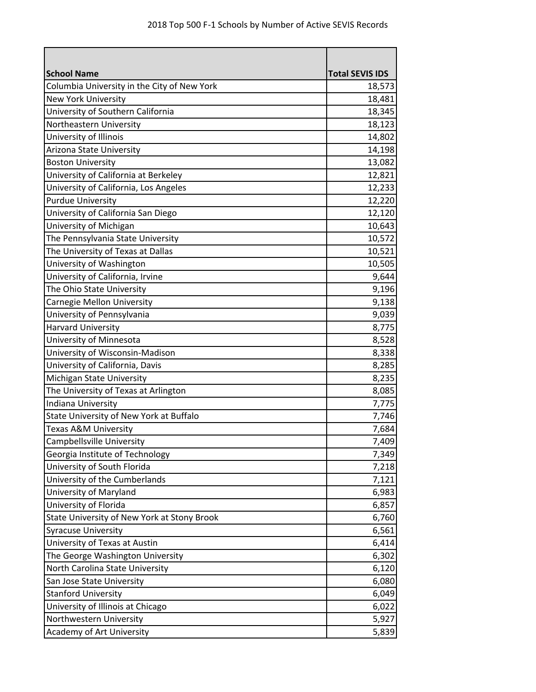| <b>School Name</b>                          | <b>Total SEVIS IDS</b> |
|---------------------------------------------|------------------------|
| Columbia University in the City of New York | 18,573                 |
| <b>New York University</b>                  | 18,481                 |
| University of Southern California           | 18,345                 |
| Northeastern University                     | 18,123                 |
| University of Illinois                      | 14,802                 |
| Arizona State University                    | 14,198                 |
| <b>Boston University</b>                    | 13,082                 |
| University of California at Berkeley        | 12,821                 |
| University of California, Los Angeles       | 12,233                 |
| <b>Purdue University</b>                    | 12,220                 |
| University of California San Diego          | 12,120                 |
| University of Michigan                      | 10,643                 |
| The Pennsylvania State University           | 10,572                 |
| The University of Texas at Dallas           | 10,521                 |
| University of Washington                    | 10,505                 |
| University of California, Irvine            | 9,644                  |
| The Ohio State University                   | 9,196                  |
| Carnegie Mellon University                  | 9,138                  |
| University of Pennsylvania                  | 9,039                  |
| <b>Harvard University</b>                   | 8,775                  |
| University of Minnesota                     | 8,528                  |
| University of Wisconsin-Madison             | 8,338                  |
| University of California, Davis             | 8,285                  |
| Michigan State University                   | 8,235                  |
| The University of Texas at Arlington        | 8,085                  |
| Indiana University                          | 7,775                  |
| State University of New York at Buffalo     | 7,746                  |
| <b>Texas A&amp;M University</b>             | 7,684                  |
| Campbellsville University                   | 7,409                  |
| Georgia Institute of Technology             | 7,349                  |
| University of South Florida                 | 7,218                  |
| University of the Cumberlands               | 7,121                  |
| University of Maryland                      | 6,983                  |
| University of Florida                       | 6,857                  |
| State University of New York at Stony Brook | 6,760                  |
| <b>Syracuse University</b>                  | 6,561                  |
| University of Texas at Austin               | 6,414                  |
| The George Washington University            | 6,302                  |
| North Carolina State University             | 6,120                  |
| San Jose State University                   | 6,080                  |
| <b>Stanford University</b>                  | 6,049                  |
| University of Illinois at Chicago           | 6,022                  |
| Northwestern University                     | 5,927                  |
| Academy of Art University                   | 5,839                  |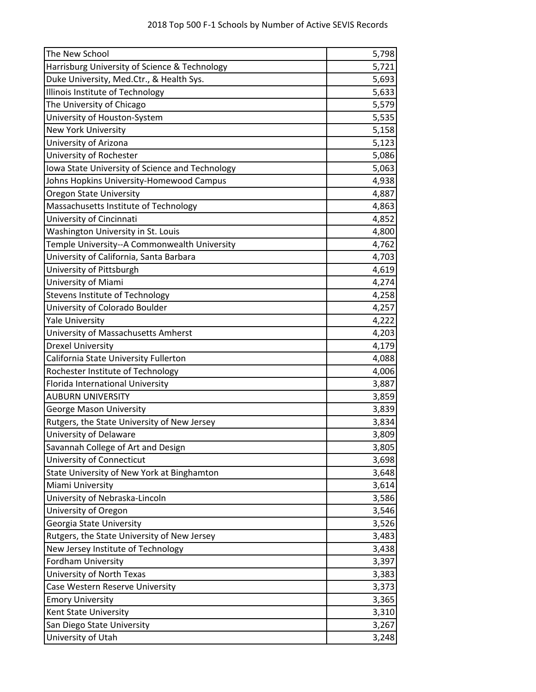| The New School                                  | 5,798 |
|-------------------------------------------------|-------|
| Harrisburg University of Science & Technology   | 5,721 |
| Duke University, Med.Ctr., & Health Sys.        | 5,693 |
| Illinois Institute of Technology                | 5,633 |
| The University of Chicago                       | 5,579 |
| University of Houston-System                    | 5,535 |
| <b>New York University</b>                      | 5,158 |
| University of Arizona                           | 5,123 |
| University of Rochester                         | 5,086 |
| Iowa State University of Science and Technology | 5,063 |
| Johns Hopkins University-Homewood Campus        | 4,938 |
| <b>Oregon State University</b>                  | 4,887 |
| Massachusetts Institute of Technology           | 4,863 |
| University of Cincinnati                        | 4,852 |
| Washington University in St. Louis              | 4,800 |
| Temple University--A Commonwealth University    | 4,762 |
| University of California, Santa Barbara         | 4,703 |
| University of Pittsburgh                        | 4,619 |
| University of Miami                             | 4,274 |
| Stevens Institute of Technology                 | 4,258 |
| University of Colorado Boulder                  | 4,257 |
| <b>Yale University</b>                          | 4,222 |
| University of Massachusetts Amherst             | 4,203 |
| <b>Drexel University</b>                        | 4,179 |
| California State University Fullerton           | 4,088 |
| Rochester Institute of Technology               | 4,006 |
| Florida International University                | 3,887 |
| <b>AUBURN UNIVERSITY</b>                        | 3,859 |
| <b>George Mason University</b>                  | 3,839 |
| Rutgers, the State University of New Jersey     | 3,834 |
| University of Delaware                          | 3,809 |
| Savannah College of Art and Design              | 3,805 |
| University of Connecticut                       | 3,698 |
| State University of New York at Binghamton      | 3,648 |
| Miami University                                | 3,614 |
| University of Nebraska-Lincoln                  | 3,586 |
| University of Oregon                            | 3,546 |
| Georgia State University                        | 3,526 |
| Rutgers, the State University of New Jersey     | 3,483 |
| New Jersey Institute of Technology              | 3,438 |
| <b>Fordham University</b>                       | 3,397 |
| University of North Texas                       | 3,383 |
| Case Western Reserve University                 | 3,373 |
| <b>Emory University</b>                         | 3,365 |
| Kent State University                           | 3,310 |
| San Diego State University                      | 3,267 |
| University of Utah                              | 3,248 |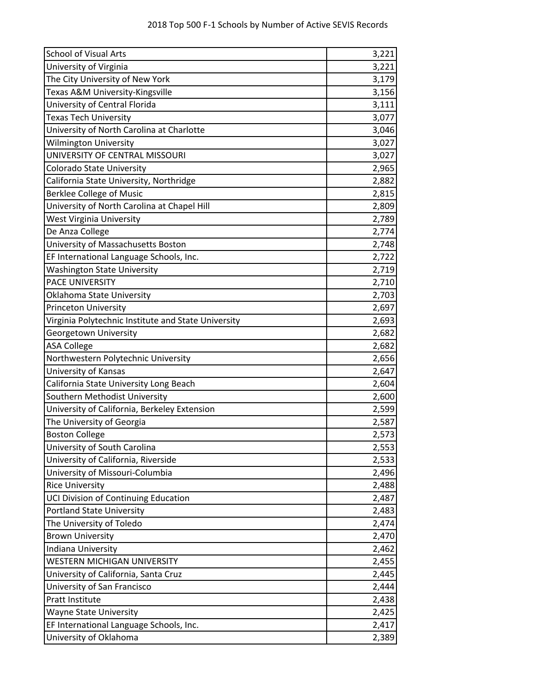| <b>School of Visual Arts</b>                        | 3,221 |
|-----------------------------------------------------|-------|
| University of Virginia                              | 3,221 |
| The City University of New York                     | 3,179 |
| Texas A&M University-Kingsville                     | 3,156 |
| University of Central Florida                       | 3,111 |
| <b>Texas Tech University</b>                        | 3,077 |
| University of North Carolina at Charlotte           | 3,046 |
| <b>Wilmington University</b>                        | 3,027 |
| UNIVERSITY OF CENTRAL MISSOURI                      | 3,027 |
| Colorado State University                           | 2,965 |
| California State University, Northridge             | 2,882 |
| <b>Berklee College of Music</b>                     | 2,815 |
| University of North Carolina at Chapel Hill         | 2,809 |
| <b>West Virginia University</b>                     | 2,789 |
| De Anza College                                     | 2,774 |
| University of Massachusetts Boston                  | 2,748 |
| EF International Language Schools, Inc.             | 2,722 |
| <b>Washington State University</b>                  | 2,719 |
| <b>PACE UNIVERSITY</b>                              | 2,710 |
| Oklahoma State University                           | 2,703 |
| <b>Princeton University</b>                         | 2,697 |
| Virginia Polytechnic Institute and State University | 2,693 |
| Georgetown University                               | 2,682 |
| <b>ASA College</b>                                  | 2,682 |
| Northwestern Polytechnic University                 | 2,656 |
| University of Kansas                                | 2,647 |
| California State University Long Beach              | 2,604 |
| Southern Methodist University                       | 2,600 |
| University of California, Berkeley Extension        | 2,599 |
| The University of Georgia                           | 2,587 |
| <b>Boston College</b>                               | 2,573 |
| University of South Carolina                        | 2,553 |
| University of California, Riverside                 | 2,533 |
| University of Missouri-Columbia                     | 2,496 |
| <b>Rice University</b>                              | 2,488 |
| UCI Division of Continuing Education                | 2,487 |
| <b>Portland State University</b>                    | 2,483 |
| The University of Toledo                            | 2,474 |
| <b>Brown University</b>                             | 2,470 |
| Indiana University                                  | 2,462 |
| WESTERN MICHIGAN UNIVERSITY                         | 2,455 |
| University of California, Santa Cruz                | 2,445 |
| University of San Francisco                         | 2,444 |
| Pratt Institute                                     | 2,438 |
| <b>Wayne State University</b>                       | 2,425 |
| EF International Language Schools, Inc.             | 2,417 |
| University of Oklahoma                              | 2,389 |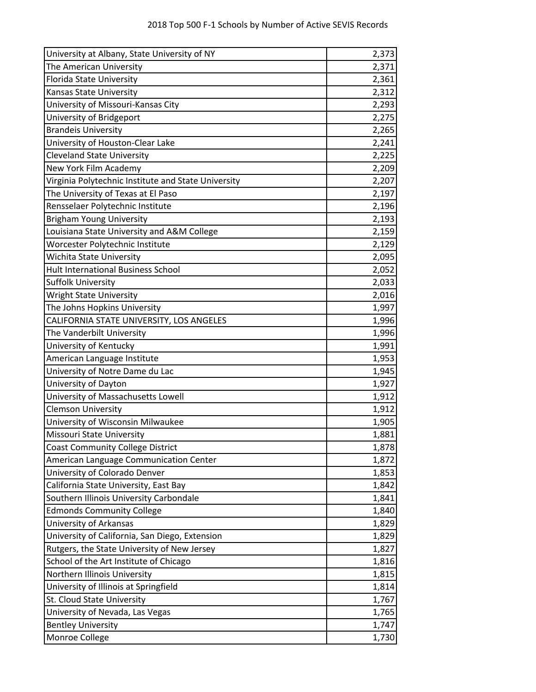| University at Albany, State University of NY        | 2,373 |
|-----------------------------------------------------|-------|
| The American University                             | 2,371 |
| Florida State University                            | 2,361 |
| Kansas State University                             | 2,312 |
| University of Missouri-Kansas City                  | 2,293 |
| University of Bridgeport                            | 2,275 |
| <b>Brandeis University</b>                          | 2,265 |
| University of Houston-Clear Lake                    | 2,241 |
| <b>Cleveland State University</b>                   | 2,225 |
| New York Film Academy                               | 2,209 |
| Virginia Polytechnic Institute and State University | 2,207 |
| The University of Texas at El Paso                  | 2,197 |
| Rensselaer Polytechnic Institute                    | 2,196 |
| <b>Brigham Young University</b>                     | 2,193 |
| Louisiana State University and A&M College          | 2,159 |
| Worcester Polytechnic Institute                     | 2,129 |
| <b>Wichita State University</b>                     | 2,095 |
| <b>Hult International Business School</b>           | 2,052 |
| <b>Suffolk University</b>                           | 2,033 |
| <b>Wright State University</b>                      | 2,016 |
| The Johns Hopkins University                        | 1,997 |
| CALIFORNIA STATE UNIVERSITY, LOS ANGELES            | 1,996 |
| The Vanderbilt University                           | 1,996 |
| University of Kentucky                              | 1,991 |
| American Language Institute                         | 1,953 |
| University of Notre Dame du Lac                     | 1,945 |
| University of Dayton                                | 1,927 |
| University of Massachusetts Lowell                  | 1,912 |
| <b>Clemson University</b>                           | 1,912 |
| University of Wisconsin Milwaukee                   | 1,905 |
| <b>Missouri State University</b>                    | 1,881 |
| <b>Coast Community College District</b>             | 1,878 |
| American Language Communication Center              | 1,872 |
| University of Colorado Denver                       | 1,853 |
| California State University, East Bay               | 1,842 |
| Southern Illinois University Carbondale             | 1,841 |
| <b>Edmonds Community College</b>                    | 1,840 |
| University of Arkansas                              | 1,829 |
| University of California, San Diego, Extension      | 1,829 |
| Rutgers, the State University of New Jersey         | 1,827 |
| School of the Art Institute of Chicago              | 1,816 |
| Northern Illinois University                        | 1,815 |
| University of Illinois at Springfield               | 1,814 |
| St. Cloud State University                          | 1,767 |
| University of Nevada, Las Vegas                     | 1,765 |
| <b>Bentley University</b>                           | 1,747 |
| Monroe College                                      | 1,730 |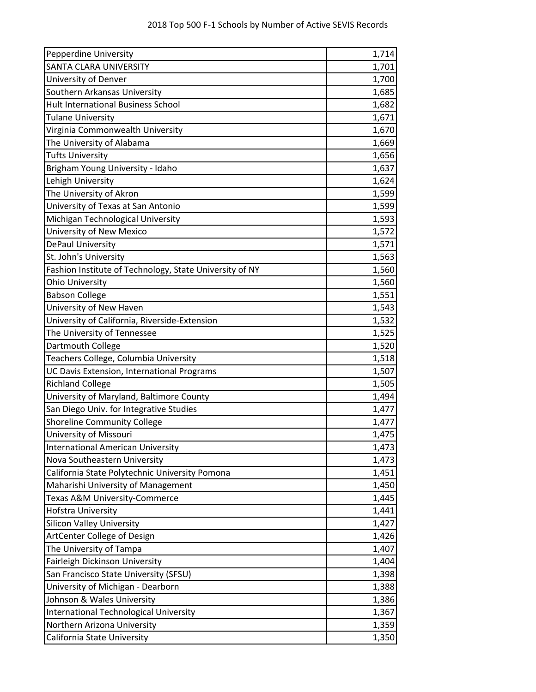| <b>Pepperdine University</b>                            | 1,714 |
|---------------------------------------------------------|-------|
| <b>SANTA CLARA UNIVERSITY</b>                           | 1,701 |
| University of Denver                                    | 1,700 |
| Southern Arkansas University                            | 1,685 |
| <b>Hult International Business School</b>               | 1,682 |
| <b>Tulane University</b>                                | 1,671 |
| Virginia Commonwealth University                        | 1,670 |
| The University of Alabama                               | 1,669 |
| <b>Tufts University</b>                                 | 1,656 |
| Brigham Young University - Idaho                        | 1,637 |
| Lehigh University                                       | 1,624 |
| The University of Akron                                 | 1,599 |
| University of Texas at San Antonio                      | 1,599 |
| Michigan Technological University                       | 1,593 |
| University of New Mexico                                | 1,572 |
| DePaul University                                       | 1,571 |
| St. John's University                                   | 1,563 |
| Fashion Institute of Technology, State University of NY | 1,560 |
| <b>Ohio University</b>                                  | 1,560 |
| <b>Babson College</b>                                   | 1,551 |
| University of New Haven                                 | 1,543 |
| University of California, Riverside-Extension           | 1,532 |
| The University of Tennessee                             | 1,525 |
| Dartmouth College                                       | 1,520 |
| Teachers College, Columbia University                   | 1,518 |
| UC Davis Extension, International Programs              | 1,507 |
| <b>Richland College</b>                                 | 1,505 |
| University of Maryland, Baltimore County                | 1,494 |
| San Diego Univ. for Integrative Studies                 | 1,477 |
| <b>Shoreline Community College</b>                      | 1,477 |
| University of Missouri                                  | 1,475 |
| <b>International American University</b>                | 1,473 |
| Nova Southeastern University                            | 1,473 |
| California State Polytechnic University Pomona          | 1,451 |
| Maharishi University of Management                      | 1,450 |
| Texas A&M University-Commerce                           | 1,445 |
| Hofstra University                                      | 1,441 |
| <b>Silicon Valley University</b>                        | 1,427 |
| ArtCenter College of Design                             | 1,426 |
| The University of Tampa                                 | 1,407 |
| Fairleigh Dickinson University                          | 1,404 |
| San Francisco State University (SFSU)                   | 1,398 |
| University of Michigan - Dearborn                       | 1,388 |
| Johnson & Wales University                              | 1,386 |
| <b>International Technological University</b>           | 1,367 |
| Northern Arizona University                             | 1,359 |
| California State University                             | 1,350 |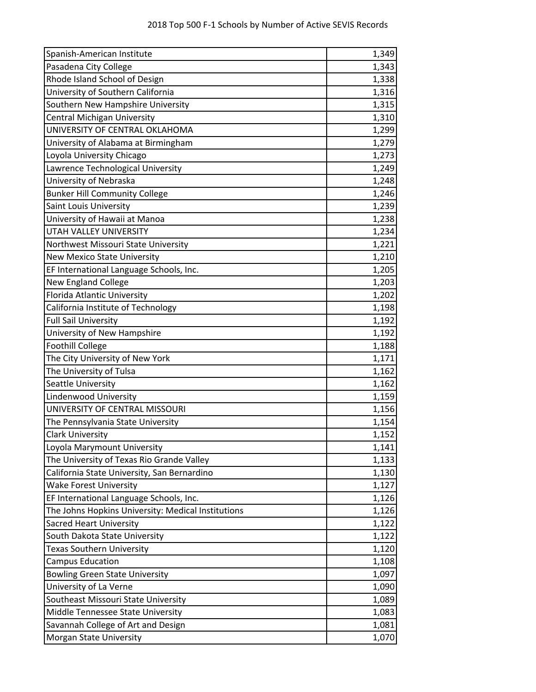| Spanish-American Institute                         | 1,349 |
|----------------------------------------------------|-------|
| Pasadena City College                              | 1,343 |
| Rhode Island School of Design                      | 1,338 |
| University of Southern California                  | 1,316 |
| Southern New Hampshire University                  | 1,315 |
| <b>Central Michigan University</b>                 | 1,310 |
| UNIVERSITY OF CENTRAL OKLAHOMA                     | 1,299 |
| University of Alabama at Birmingham                | 1,279 |
| Loyola University Chicago                          | 1,273 |
| Lawrence Technological University                  | 1,249 |
| University of Nebraska                             | 1,248 |
| <b>Bunker Hill Community College</b>               | 1,246 |
| Saint Louis University                             | 1,239 |
| University of Hawaii at Manoa                      | 1,238 |
| UTAH VALLEY UNIVERSITY                             | 1,234 |
| Northwest Missouri State University                | 1,221 |
| <b>New Mexico State University</b>                 | 1,210 |
| EF International Language Schools, Inc.            | 1,205 |
| New England College                                | 1,203 |
| <b>Florida Atlantic University</b>                 | 1,202 |
| California Institute of Technology                 | 1,198 |
| <b>Full Sail University</b>                        | 1,192 |
| University of New Hampshire                        | 1,192 |
| <b>Foothill College</b>                            | 1,188 |
| The City University of New York                    | 1,171 |
| The University of Tulsa                            | 1,162 |
| Seattle University                                 | 1,162 |
| Lindenwood University                              | 1,159 |
| UNIVERSITY OF CENTRAL MISSOURI                     | 1,156 |
| The Pennsylvania State University                  | 1,154 |
| <b>Clark University</b>                            | 1,152 |
| Loyola Marymount University                        | 1,141 |
| The University of Texas Rio Grande Valley          | 1,133 |
| California State University, San Bernardino        | 1,130 |
| <b>Wake Forest University</b>                      | 1,127 |
| EF International Language Schools, Inc.            | 1,126 |
| The Johns Hopkins University: Medical Institutions | 1,126 |
| <b>Sacred Heart University</b>                     | 1,122 |
| South Dakota State University                      | 1,122 |
| Texas Southern University                          | 1,120 |
| <b>Campus Education</b>                            | 1,108 |
| <b>Bowling Green State University</b>              | 1,097 |
| University of La Verne                             | 1,090 |
| Southeast Missouri State University                | 1,089 |
| Middle Tennessee State University                  | 1,083 |
| Savannah College of Art and Design                 | 1,081 |
| Morgan State University                            | 1,070 |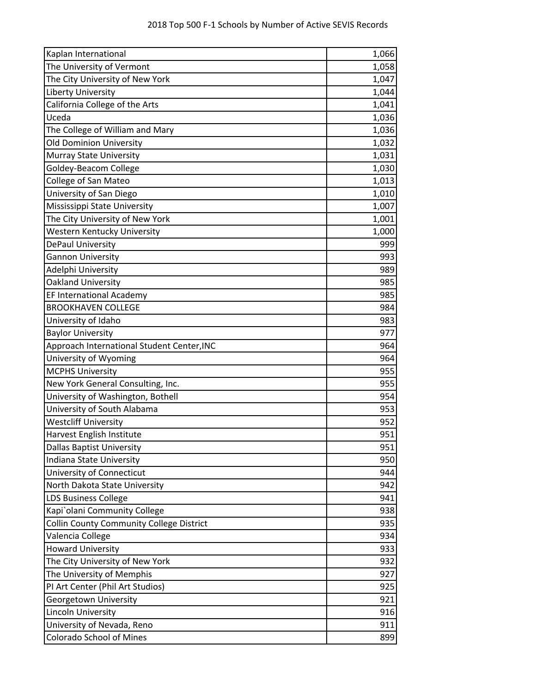| Kaplan International                            | 1,066 |
|-------------------------------------------------|-------|
| The University of Vermont                       | 1,058 |
| The City University of New York                 | 1,047 |
| <b>Liberty University</b>                       | 1,044 |
| California College of the Arts                  | 1,041 |
| Uceda                                           | 1,036 |
| The College of William and Mary                 | 1,036 |
| <b>Old Dominion University</b>                  | 1,032 |
| Murray State University                         | 1,031 |
| Goldey-Beacom College                           | 1,030 |
| <b>College of San Mateo</b>                     | 1,013 |
| University of San Diego                         | 1,010 |
| Mississippi State University                    | 1,007 |
| The City University of New York                 | 1,001 |
| Western Kentucky University                     | 1,000 |
| DePaul University                               | 999   |
| <b>Gannon University</b>                        | 993   |
| Adelphi University                              | 989   |
| Oakland University                              | 985   |
| <b>EF International Academy</b>                 | 985   |
| <b>BROOKHAVEN COLLEGE</b>                       | 984   |
| University of Idaho                             | 983   |
| <b>Baylor University</b>                        | 977   |
| Approach International Student Center, INC      | 964   |
| University of Wyoming                           | 964   |
| <b>MCPHS University</b>                         | 955   |
| New York General Consulting, Inc.               | 955   |
| University of Washington, Bothell               | 954   |
| University of South Alabama                     | 953   |
| <b>Westcliff University</b>                     | 952   |
| Harvest English Institute                       | 951   |
| <b>Dallas Baptist University</b>                | 951   |
| Indiana State University                        | 950   |
| University of Connecticut                       | 944   |
| North Dakota State University                   | 942   |
| <b>LDS Business College</b>                     | 941   |
| Kapi`olani Community College                    | 938   |
| <b>Collin County Community College District</b> | 935   |
| Valencia College                                | 934   |
| <b>Howard University</b>                        | 933   |
| The City University of New York                 | 932   |
| The University of Memphis                       | 927   |
| PI Art Center (Phil Art Studios)                | 925   |
| Georgetown University                           | 921   |
| Lincoln University                              | 916   |
| University of Nevada, Reno                      | 911   |
| <b>Colorado School of Mines</b>                 | 899   |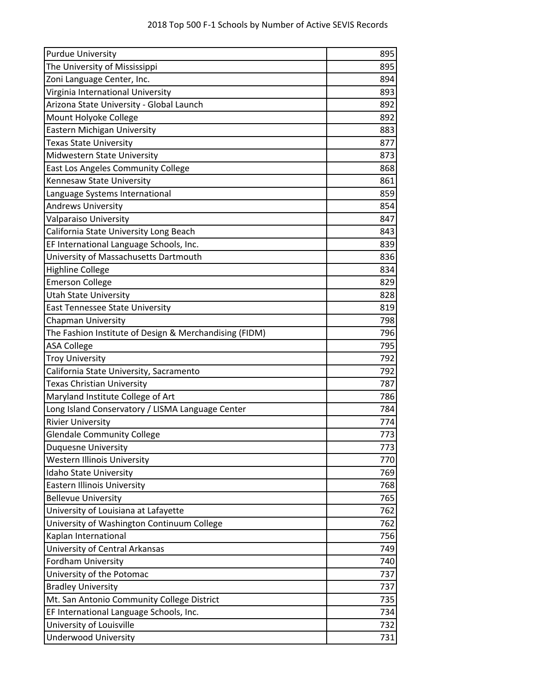| <b>Purdue University</b>                               | 895 |
|--------------------------------------------------------|-----|
| The University of Mississippi                          | 895 |
| Zoni Language Center, Inc.                             | 894 |
| Virginia International University                      | 893 |
| Arizona State University - Global Launch               | 892 |
| Mount Holyoke College                                  | 892 |
| Eastern Michigan University                            | 883 |
| <b>Texas State University</b>                          | 877 |
| Midwestern State University                            | 873 |
| East Los Angeles Community College                     | 868 |
| Kennesaw State University                              | 861 |
| Language Systems International                         | 859 |
| <b>Andrews University</b>                              | 854 |
| Valparaiso University                                  | 847 |
| California State University Long Beach                 | 843 |
| EF International Language Schools, Inc.                | 839 |
| University of Massachusetts Dartmouth                  | 836 |
| <b>Highline College</b>                                | 834 |
| <b>Emerson College</b>                                 | 829 |
| <b>Utah State University</b>                           | 828 |
| East Tennessee State University                        | 819 |
| <b>Chapman University</b>                              | 798 |
| The Fashion Institute of Design & Merchandising (FIDM) | 796 |
| <b>ASA College</b>                                     | 795 |
| <b>Troy University</b>                                 | 792 |
| California State University, Sacramento                | 792 |
| <b>Texas Christian University</b>                      | 787 |
| Maryland Institute College of Art                      | 786 |
| Long Island Conservatory / LISMA Language Center       | 784 |
| <b>Rivier University</b>                               | 774 |
| <b>Glendale Community College</b>                      | 773 |
| <b>Duquesne University</b>                             | 773 |
| <b>Western Illinois University</b>                     | 770 |
| Idaho State University                                 | 769 |
| <b>Eastern Illinois University</b>                     | 768 |
| <b>Bellevue University</b>                             | 765 |
| University of Louisiana at Lafayette                   | 762 |
| University of Washington Continuum College             | 762 |
| Kaplan International                                   | 756 |
| University of Central Arkansas                         | 749 |
| <b>Fordham University</b>                              | 740 |
| University of the Potomac                              | 737 |
| <b>Bradley University</b>                              | 737 |
| Mt. San Antonio Community College District             | 735 |
| EF International Language Schools, Inc.                | 734 |
| University of Louisville                               | 732 |
| <b>Underwood University</b>                            | 731 |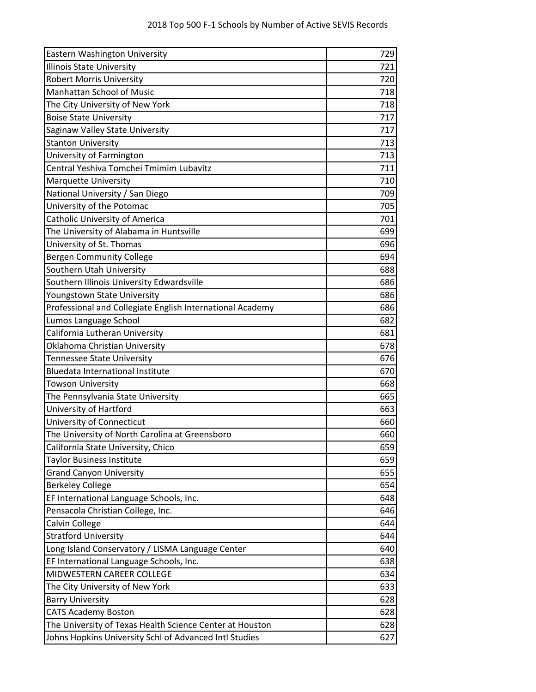| Eastern Washington University                             | 729 |
|-----------------------------------------------------------|-----|
| Illinois State University                                 | 721 |
| <b>Robert Morris University</b>                           | 720 |
| <b>Manhattan School of Music</b>                          | 718 |
| The City University of New York                           | 718 |
| <b>Boise State University</b>                             | 717 |
| Saginaw Valley State University                           | 717 |
| <b>Stanton University</b>                                 | 713 |
| University of Farmington                                  | 713 |
| Central Yeshiva Tomchei Tmimim Lubavitz                   | 711 |
| <b>Marquette University</b>                               | 710 |
| National University / San Diego                           | 709 |
| University of the Potomac                                 | 705 |
| <b>Catholic University of America</b>                     | 701 |
| The University of Alabama in Huntsville                   | 699 |
| University of St. Thomas                                  | 696 |
| <b>Bergen Community College</b>                           | 694 |
| Southern Utah University                                  | 688 |
| Southern Illinois University Edwardsville                 | 686 |
| Youngstown State University                               | 686 |
| Professional and Collegiate English International Academy | 686 |
| Lumos Language School                                     | 682 |
| California Lutheran University                            | 681 |
| Oklahoma Christian University                             | 678 |
| Tennessee State University                                | 676 |
| <b>Bluedata International Institute</b>                   | 670 |
| <b>Towson University</b>                                  | 668 |
| The Pennsylvania State University                         | 665 |
| University of Hartford                                    | 663 |
| University of Connecticut                                 | 660 |
| The University of North Carolina at Greensboro            | 660 |
| California State University, Chico                        | 659 |
| <b>Taylor Business Institute</b>                          | 659 |
| <b>Grand Canyon University</b>                            | 655 |
| <b>Berkeley College</b>                                   | 654 |
| EF International Language Schools, Inc.                   | 648 |
| Pensacola Christian College, Inc.                         | 646 |
| Calvin College                                            | 644 |
| <b>Stratford University</b>                               | 644 |
| Long Island Conservatory / LISMA Language Center          | 640 |
| EF International Language Schools, Inc.                   | 638 |
| MIDWESTERN CAREER COLLEGE                                 | 634 |
| The City University of New York                           | 633 |
| <b>Barry University</b>                                   | 628 |
| <b>CATS Academy Boston</b>                                | 628 |
| The University of Texas Health Science Center at Houston  | 628 |
| Johns Hopkins University Schl of Advanced Intl Studies    | 627 |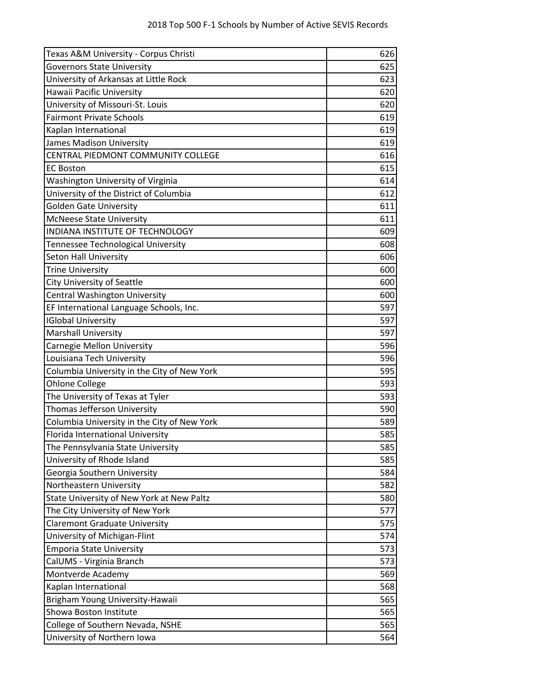| Texas A&M University - Corpus Christi       | 626 |
|---------------------------------------------|-----|
| <b>Governors State University</b>           | 625 |
| University of Arkansas at Little Rock       | 623 |
| Hawaii Pacific University                   | 620 |
| University of Missouri-St. Louis            | 620 |
| <b>Fairmont Private Schools</b>             | 619 |
| Kaplan International                        | 619 |
| James Madison University                    | 619 |
| CENTRAL PIEDMONT COMMUNITY COLLEGE          | 616 |
| <b>EC Boston</b>                            | 615 |
| Washington University of Virginia           | 614 |
| University of the District of Columbia      | 612 |
| <b>Golden Gate University</b>               | 611 |
| <b>McNeese State University</b>             | 611 |
| INDIANA INSTITUTE OF TECHNOLOGY             | 609 |
| Tennessee Technological University          | 608 |
| Seton Hall University                       | 606 |
| <b>Trine University</b>                     | 600 |
| City University of Seattle                  | 600 |
| <b>Central Washington University</b>        | 600 |
| EF International Language Schools, Inc.     | 597 |
| <b>IGlobal University</b>                   | 597 |
| <b>Marshall University</b>                  | 597 |
| Carnegie Mellon University                  | 596 |
| Louisiana Tech University                   | 596 |
| Columbia University in the City of New York | 595 |
| Ohlone College                              | 593 |
| The University of Texas at Tyler            | 593 |
| Thomas Jefferson University                 | 590 |
| Columbia University in the City of New York | 589 |
| Florida International University            | 585 |
| The Pennsylvania State University           | 585 |
| University of Rhode Island                  | 585 |
| Georgia Southern University                 | 584 |
| Northeastern University                     | 582 |
| State University of New York at New Paltz   | 580 |
| The City University of New York             | 577 |
| <b>Claremont Graduate University</b>        | 575 |
| University of Michigan-Flint                | 574 |
| <b>Emporia State University</b>             | 573 |
| CalUMS - Virginia Branch                    | 573 |
| Montverde Academy                           | 569 |
| Kaplan International                        | 568 |
| Brigham Young University-Hawaii             | 565 |
| Showa Boston Institute                      | 565 |
| College of Southern Nevada, NSHE            | 565 |
| University of Northern Iowa                 | 564 |